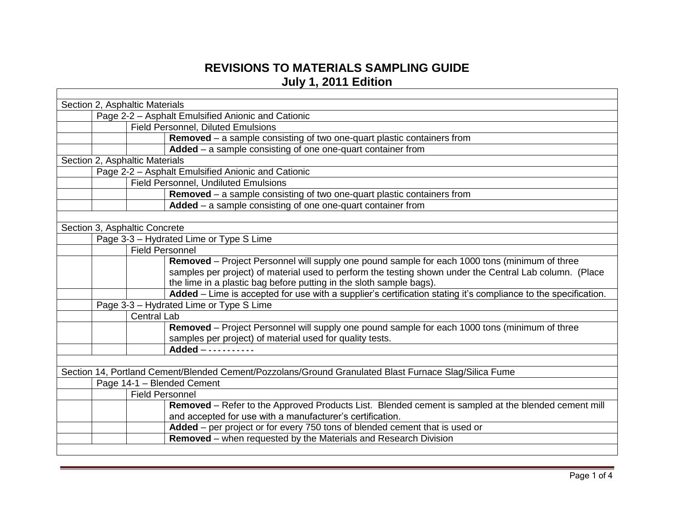## **REVISIONS TO MATERIALS SAMPLING GUIDE July 1, 2011 Edition**

 $\mathsf{L}$ 

| Section 2, Asphaltic Materials                                                                                 |  |  |  |  |  |
|----------------------------------------------------------------------------------------------------------------|--|--|--|--|--|
| Page 2-2 - Asphalt Emulsified Anionic and Cationic                                                             |  |  |  |  |  |
| <b>Field Personnel, Diluted Emulsions</b>                                                                      |  |  |  |  |  |
| Removed - a sample consisting of two one-quart plastic containers from                                         |  |  |  |  |  |
| Added - a sample consisting of one one-quart container from                                                    |  |  |  |  |  |
| Section 2, Asphaltic Materials                                                                                 |  |  |  |  |  |
| Page 2-2 - Asphalt Emulsified Anionic and Cationic                                                             |  |  |  |  |  |
| <b>Field Personnel, Undiluted Emulsions</b>                                                                    |  |  |  |  |  |
| Removed - a sample consisting of two one-quart plastic containers from                                         |  |  |  |  |  |
| Added – a sample consisting of one one-quart container from                                                    |  |  |  |  |  |
|                                                                                                                |  |  |  |  |  |
| Section 3, Asphaltic Concrete                                                                                  |  |  |  |  |  |
| Page 3-3 - Hydrated Lime or Type S Lime                                                                        |  |  |  |  |  |
| Field Personnel                                                                                                |  |  |  |  |  |
| Removed - Project Personnel will supply one pound sample for each 1000 tons (minimum of three                  |  |  |  |  |  |
| samples per project) of material used to perform the testing shown under the Central Lab column. (Place        |  |  |  |  |  |
| the lime in a plastic bag before putting in the sloth sample bags).                                            |  |  |  |  |  |
| Added - Lime is accepted for use with a supplier's certification stating it's compliance to the specification. |  |  |  |  |  |
| Page 3-3 - Hydrated Lime or Type S Lime                                                                        |  |  |  |  |  |
| <b>Central Lab</b>                                                                                             |  |  |  |  |  |
| Removed - Project Personnel will supply one pound sample for each 1000 tons (minimum of three                  |  |  |  |  |  |
| samples per project) of material used for quality tests.                                                       |  |  |  |  |  |
| Added -----------                                                                                              |  |  |  |  |  |
|                                                                                                                |  |  |  |  |  |
| Section 14, Portland Cement/Blended Cement/Pozzolans/Ground Granulated Blast Furnace Slag/Silica Fume          |  |  |  |  |  |
| Page 14-1 - Blended Cement                                                                                     |  |  |  |  |  |
| <b>Field Personnel</b>                                                                                         |  |  |  |  |  |
| Removed - Refer to the Approved Products List. Blended cement is sampled at the blended cement mill            |  |  |  |  |  |
| and accepted for use with a manufacturer's certification.                                                      |  |  |  |  |  |
| Added – per project or for every 750 tons of blended cement that is used or                                    |  |  |  |  |  |
| Removed - when requested by the Materials and Research Division                                                |  |  |  |  |  |
|                                                                                                                |  |  |  |  |  |

┑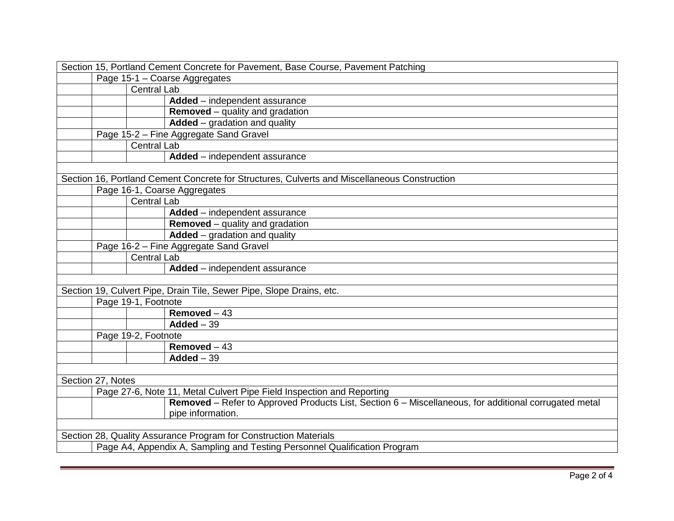| Section 15, Portland Cement Concrete for Pavement, Base Course, Pavement Patching                     |                                        |  |  |  |  |
|-------------------------------------------------------------------------------------------------------|----------------------------------------|--|--|--|--|
| Page 15-1 - Coarse Aggregates                                                                         |                                        |  |  |  |  |
| <b>Central Lab</b>                                                                                    |                                        |  |  |  |  |
| Added - independent assurance                                                                         |                                        |  |  |  |  |
| <b>Removed</b> – quality and gradation                                                                |                                        |  |  |  |  |
| <b>Added</b> – gradation and quality                                                                  |                                        |  |  |  |  |
|                                                                                                       | Page 15-2 - Fine Aggregate Sand Gravel |  |  |  |  |
| <b>Central Lab</b>                                                                                    |                                        |  |  |  |  |
| Added - independent assurance                                                                         |                                        |  |  |  |  |
|                                                                                                       |                                        |  |  |  |  |
| Section 16, Portland Cement Concrete for Structures, Culverts and Miscellaneous Construction          |                                        |  |  |  |  |
|                                                                                                       | Page 16-1, Coarse Aggregates           |  |  |  |  |
| <b>Central Lab</b>                                                                                    |                                        |  |  |  |  |
| Added - independent assurance                                                                         |                                        |  |  |  |  |
| <b>Removed</b> – quality and gradation                                                                |                                        |  |  |  |  |
| <b>Added</b> – gradation and quality                                                                  |                                        |  |  |  |  |
|                                                                                                       | Page 16-2 - Fine Aggregate Sand Gravel |  |  |  |  |
| <b>Central Lab</b>                                                                                    |                                        |  |  |  |  |
| Added - independent assurance                                                                         |                                        |  |  |  |  |
|                                                                                                       |                                        |  |  |  |  |
| Section 19, Culvert Pipe, Drain Tile, Sewer Pipe, Slope Drains, etc.                                  |                                        |  |  |  |  |
| Page 19-1, Footnote                                                                                   |                                        |  |  |  |  |
| Removed $-43$                                                                                         |                                        |  |  |  |  |
| $Added - 39$                                                                                          |                                        |  |  |  |  |
| Page 19-2, Footnote                                                                                   |                                        |  |  |  |  |
| Removed $-43$                                                                                         |                                        |  |  |  |  |
| $Added - 39$                                                                                          |                                        |  |  |  |  |
|                                                                                                       |                                        |  |  |  |  |
| Section 27, Notes                                                                                     |                                        |  |  |  |  |
| Page 27-6, Note 11, Metal Culvert Pipe Field Inspection and Reporting                                 |                                        |  |  |  |  |
| Removed - Refer to Approved Products List, Section 6 - Miscellaneous, for additional corrugated metal |                                        |  |  |  |  |
| pipe information.                                                                                     |                                        |  |  |  |  |
|                                                                                                       |                                        |  |  |  |  |
| Section 28, Quality Assurance Program for Construction Materials                                      |                                        |  |  |  |  |
| Page A4, Appendix A, Sampling and Testing Personnel Qualification Program                             |                                        |  |  |  |  |
|                                                                                                       |                                        |  |  |  |  |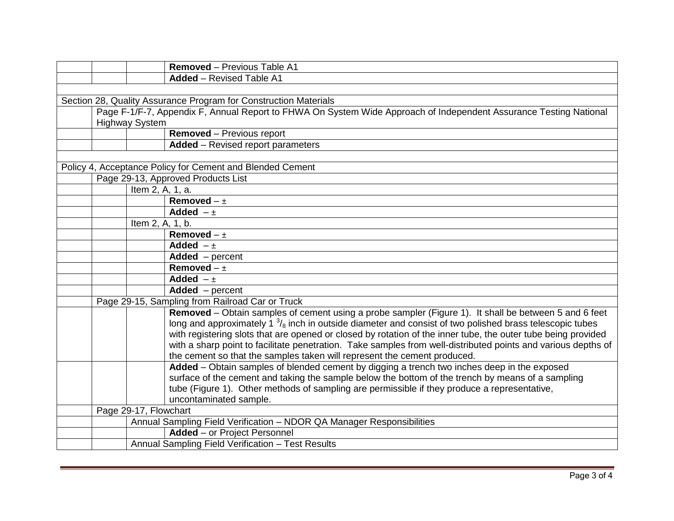|                                                                  |                                                                       |                       | <b>Removed</b> - Previous Table A1                                                                                 |  |  |  |
|------------------------------------------------------------------|-----------------------------------------------------------------------|-----------------------|--------------------------------------------------------------------------------------------------------------------|--|--|--|
|                                                                  |                                                                       |                       | <b>Added</b> - Revised Table A1                                                                                    |  |  |  |
|                                                                  |                                                                       |                       |                                                                                                                    |  |  |  |
| Section 28, Quality Assurance Program for Construction Materials |                                                                       |                       |                                                                                                                    |  |  |  |
|                                                                  |                                                                       |                       | Page F-1/F-7, Appendix F, Annual Report to FHWA On System Wide Approach of Independent Assurance Testing National  |  |  |  |
|                                                                  |                                                                       | <b>Highway System</b> |                                                                                                                    |  |  |  |
|                                                                  |                                                                       |                       | <b>Removed</b> – Previous report                                                                                   |  |  |  |
|                                                                  |                                                                       |                       | <b>Added</b> – Revised report parameters                                                                           |  |  |  |
|                                                                  |                                                                       |                       |                                                                                                                    |  |  |  |
| Policy 4, Acceptance Policy for Cement and Blended Cement        |                                                                       |                       |                                                                                                                    |  |  |  |
|                                                                  |                                                                       |                       | Page 29-13, Approved Products List                                                                                 |  |  |  |
|                                                                  |                                                                       | Item 2, A, 1, a.      |                                                                                                                    |  |  |  |
|                                                                  |                                                                       |                       | Removed $- \pm$                                                                                                    |  |  |  |
|                                                                  |                                                                       |                       | Added $-\pm$                                                                                                       |  |  |  |
|                                                                  |                                                                       | Item 2, A, 1, b.      |                                                                                                                    |  |  |  |
|                                                                  |                                                                       |                       | Removed $- \pm$                                                                                                    |  |  |  |
|                                                                  |                                                                       |                       | Added $-\pm$                                                                                                       |  |  |  |
|                                                                  |                                                                       |                       | $Added$ – percent                                                                                                  |  |  |  |
|                                                                  |                                                                       |                       | Removed $- \pm$                                                                                                    |  |  |  |
|                                                                  |                                                                       |                       | Added $-\pm$                                                                                                       |  |  |  |
|                                                                  |                                                                       |                       | $Added$ – percent                                                                                                  |  |  |  |
|                                                                  |                                                                       |                       | Page 29-15, Sampling from Railroad Car or Truck                                                                    |  |  |  |
|                                                                  |                                                                       |                       | Removed - Obtain samples of cement using a probe sampler (Figure 1). It shall be between 5 and 6 feet              |  |  |  |
|                                                                  |                                                                       |                       | long and approximately $1 \frac{3}{8}$ inch in outside diameter and consist of two polished brass telescopic tubes |  |  |  |
|                                                                  |                                                                       |                       | with registering slots that are opened or closed by rotation of the inner tube, the outer tube being provided      |  |  |  |
|                                                                  |                                                                       |                       | with a sharp point to facilitate penetration. Take samples from well-distributed points and various depths of      |  |  |  |
|                                                                  |                                                                       |                       | the cement so that the samples taken will represent the cement produced.                                           |  |  |  |
|                                                                  |                                                                       |                       | Added - Obtain samples of blended cement by digging a trench two inches deep in the exposed                        |  |  |  |
|                                                                  |                                                                       |                       | surface of the cement and taking the sample below the bottom of the trench by means of a sampling                  |  |  |  |
|                                                                  |                                                                       |                       | tube (Figure 1). Other methods of sampling are permissible if they produce a representative,                       |  |  |  |
|                                                                  |                                                                       |                       | uncontaminated sample.                                                                                             |  |  |  |
|                                                                  |                                                                       | Page 29-17, Flowchart |                                                                                                                    |  |  |  |
|                                                                  | Annual Sampling Field Verification - NDOR QA Manager Responsibilities |                       |                                                                                                                    |  |  |  |
|                                                                  |                                                                       |                       | Added - or Project Personnel                                                                                       |  |  |  |
|                                                                  |                                                                       |                       | Annual Sampling Field Verification - Test Results                                                                  |  |  |  |